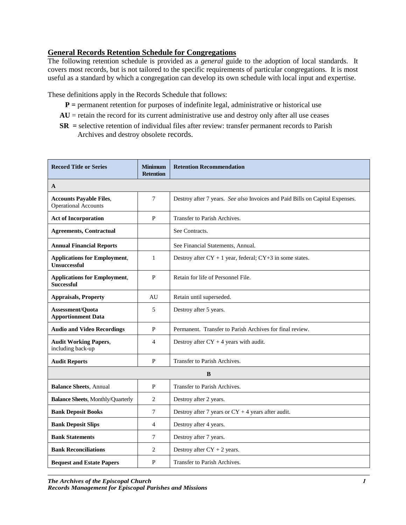## **General Records Retention Schedule for Congregations**

The following retention schedule is provided as a *general* guide to the adoption of local standards. It covers most records, but is not tailored to the specific requirements of particular congregations. It is most useful as a standard by which a congregation can develop its own schedule with local input and expertise.

These definitions apply in the Records Schedule that follows:

- **P** = permanent retention for purposes of indefinite legal, administrative or historical use
- $AU =$  retain the record for its current administrative use and destroy only after all use ceases
- **SR =** selective retention of individual files after review: transfer permanent records to Parish Archives and destroy obsolete records.

| <b>Record Title or Series</b>                                 | <b>Minimum</b><br><b>Retention</b> | <b>Retention Recommendation</b>                                              |
|---------------------------------------------------------------|------------------------------------|------------------------------------------------------------------------------|
| A                                                             |                                    |                                                                              |
| <b>Accounts Payable Files,</b><br><b>Operational Accounts</b> | 7                                  | Destroy after 7 years. See also Invoices and Paid Bills on Capital Expenses. |
| <b>Act of Incorporation</b>                                   | P                                  | Transfer to Parish Archives.                                                 |
| <b>Agreements, Contractual</b>                                |                                    | See Contracts.                                                               |
| <b>Annual Financial Reports</b>                               |                                    | See Financial Statements, Annual.                                            |
| <b>Applications for Employment,</b><br><b>Unsuccessful</b>    | $\mathbf{1}$                       | Destroy after $CY + 1$ year, federal; $CY + 3$ in some states.               |
| <b>Applications for Employment,</b><br><b>Successful</b>      | P                                  | Retain for life of Personnel File.                                           |
| <b>Appraisals, Property</b>                                   | AU                                 | Retain until superseded.                                                     |
| Assessment/Quota<br><b>Apportionment Data</b>                 | 5                                  | Destroy after 5 years.                                                       |
| <b>Audio and Video Recordings</b>                             | P                                  | Permanent. Transfer to Parish Archives for final review.                     |
| <b>Audit Working Papers,</b><br>including back-up             | 4                                  | Destroy after $CY + 4$ years with audit.                                     |
| <b>Audit Reports</b>                                          | P                                  | Transfer to Parish Archives.                                                 |
|                                                               |                                    | B                                                                            |
| <b>Balance Sheets, Annual</b>                                 | P                                  | Transfer to Parish Archives.                                                 |
| <b>Balance Sheets, Monthly/Quarterly</b>                      | 2                                  | Destroy after 2 years.                                                       |
| <b>Bank Deposit Books</b>                                     | 7                                  | Destroy after 7 years or $CY + 4$ years after audit.                         |
| <b>Bank Deposit Slips</b>                                     | 4                                  | Destroy after 4 years.                                                       |
| <b>Bank Statements</b>                                        | 7                                  | Destroy after 7 years.                                                       |
| <b>Bank Reconciliations</b>                                   | 2                                  | Destroy after $CY + 2$ years.                                                |
| <b>Bequest and Estate Papers</b>                              | P                                  | Transfer to Parish Archives.                                                 |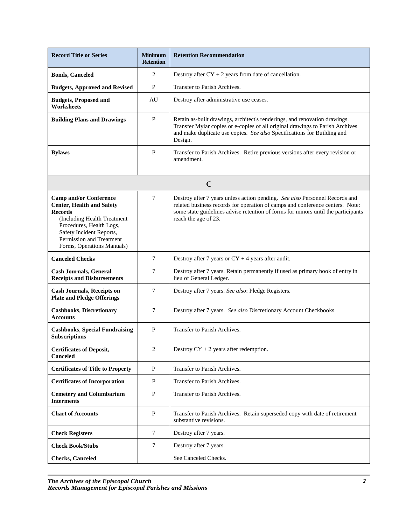| <b>Record Title or Series</b>                                                                                                                                                                                                        | <b>Minimum</b><br><b>Retention</b> | <b>Retention Recommendation</b>                                                                                                                                                                                                                                           |
|--------------------------------------------------------------------------------------------------------------------------------------------------------------------------------------------------------------------------------------|------------------------------------|---------------------------------------------------------------------------------------------------------------------------------------------------------------------------------------------------------------------------------------------------------------------------|
| <b>Bonds, Canceled</b>                                                                                                                                                                                                               | 2                                  | Destroy after $CY + 2$ years from date of cancellation.                                                                                                                                                                                                                   |
| <b>Budgets, Approved and Revised</b>                                                                                                                                                                                                 | P                                  | Transfer to Parish Archives.                                                                                                                                                                                                                                              |
| <b>Budgets, Proposed and</b><br><b>Worksheets</b>                                                                                                                                                                                    | AU                                 | Destroy after administrative use ceases.                                                                                                                                                                                                                                  |
| <b>Building Plans and Drawings</b>                                                                                                                                                                                                   | P                                  | Retain as-built drawings, architect's renderings, and renovation drawings.<br>Transfer Mylar copies or e-copies of all original drawings to Parish Archives<br>and make duplicate use copies. See also Specifications for Building and<br>Design.                         |
| <b>Bylaws</b>                                                                                                                                                                                                                        | P                                  | Transfer to Parish Archives. Retire previous versions after every revision or<br>amendment.                                                                                                                                                                               |
|                                                                                                                                                                                                                                      |                                    | $\mathbf C$                                                                                                                                                                                                                                                               |
| <b>Camp and/or Conference</b><br><b>Center, Health and Safety</b><br><b>Records</b><br>(Including Health Treatment<br>Procedures, Health Logs,<br>Safety Incident Reports,<br>Permission and Treatment<br>Forms, Operations Manuals) | 7                                  | Destroy after 7 years unless action pending. See also Personnel Records and<br>related business records for operation of camps and conference centers. Note:<br>some state guidelines advise retention of forms for minors until the participants<br>reach the age of 23. |
| <b>Canceled Checks</b>                                                                                                                                                                                                               | 7                                  | Destroy after 7 years or $CY + 4$ years after audit.                                                                                                                                                                                                                      |
| <b>Cash Journals, General</b><br><b>Receipts and Disbursements</b>                                                                                                                                                                   | 7                                  | Destroy after 7 years. Retain permanently if used as primary book of entry in<br>lieu of General Ledger.                                                                                                                                                                  |
| <b>Cash Journals, Receipts on</b><br><b>Plate and Pledge Offerings</b>                                                                                                                                                               | 7                                  | Destroy after 7 years. See also: Pledge Registers.                                                                                                                                                                                                                        |
| <b>Cashbooks, Discretionary</b><br><b>Accounts</b>                                                                                                                                                                                   | 7                                  | Destroy after 7 years. See also Discretionary Account Checkbooks.                                                                                                                                                                                                         |
| <b>Cashbooks, Special Fundraising</b><br><b>Subscriptions</b>                                                                                                                                                                        | $\mathbf{P}$                       | Transfer to Parish Archives.                                                                                                                                                                                                                                              |
| <b>Certificates of Deposit,</b><br>Canceled                                                                                                                                                                                          | 2                                  | Destroy $CY + 2$ years after redemption.                                                                                                                                                                                                                                  |
| <b>Certificates of Title to Property</b>                                                                                                                                                                                             | P                                  | Transfer to Parish Archives.                                                                                                                                                                                                                                              |
| <b>Certificates of Incorporation</b>                                                                                                                                                                                                 | $\mathbf{P}$                       | Transfer to Parish Archives.                                                                                                                                                                                                                                              |
| <b>Cemetery and Columbarium</b><br><b>Interments</b>                                                                                                                                                                                 | $\mathbf{P}$                       | Transfer to Parish Archives.                                                                                                                                                                                                                                              |
| <b>Chart of Accounts</b>                                                                                                                                                                                                             | $\mathbf{P}$                       | Transfer to Parish Archives. Retain superseded copy with date of retirement<br>substantive revisions.                                                                                                                                                                     |
| <b>Check Registers</b>                                                                                                                                                                                                               | 7                                  | Destroy after 7 years.                                                                                                                                                                                                                                                    |
| <b>Check Book/Stubs</b>                                                                                                                                                                                                              | 7                                  | Destroy after 7 years.                                                                                                                                                                                                                                                    |
| <b>Checks</b> , Canceled                                                                                                                                                                                                             |                                    | See Canceled Checks.                                                                                                                                                                                                                                                      |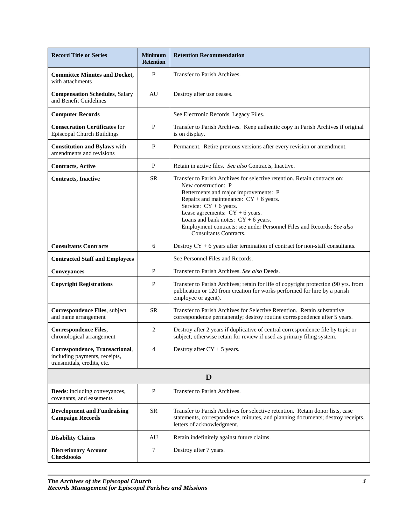| <b>Record Title or Series</b>                                                                  | <b>Minimum</b><br><b>Retention</b> | <b>Retention Recommendation</b>                                                                                                                                                                                                                                                                                                                                                                           |
|------------------------------------------------------------------------------------------------|------------------------------------|-----------------------------------------------------------------------------------------------------------------------------------------------------------------------------------------------------------------------------------------------------------------------------------------------------------------------------------------------------------------------------------------------------------|
| <b>Committee Minutes and Docket,</b><br>with attachments                                       | P                                  | Transfer to Parish Archives.                                                                                                                                                                                                                                                                                                                                                                              |
| <b>Compensation Schedules</b> , Salary<br>and Benefit Guidelines                               | AU                                 | Destroy after use ceases.                                                                                                                                                                                                                                                                                                                                                                                 |
| <b>Computer Records</b>                                                                        |                                    | See Electronic Records, Legacy Files.                                                                                                                                                                                                                                                                                                                                                                     |
| <b>Consecration Certificates for</b><br><b>Episcopal Church Buildings</b>                      | P                                  | Transfer to Parish Archives. Keep authentic copy in Parish Archives if original<br>is on display.                                                                                                                                                                                                                                                                                                         |
| <b>Constitution and Bylaws</b> with<br>amendments and revisions                                | $\mathbf{P}$                       | Permanent. Retire previous versions after every revision or amendment.                                                                                                                                                                                                                                                                                                                                    |
| <b>Contracts, Active</b>                                                                       | $\mathbf{P}$                       | Retain in active files. See also Contracts, Inactive.                                                                                                                                                                                                                                                                                                                                                     |
| <b>Contracts, Inactive</b>                                                                     | <b>SR</b>                          | Transfer to Parish Archives for selective retention. Retain contracts on:<br>New construction: P<br>Betterments and major improvements: P<br>Repairs and maintenance: $CY + 6$ years.<br>Service: $CY + 6$ years.<br>Lease agreements: $CY + 6$ years.<br>Loans and bank notes: $CY + 6$ years.<br>Employment contracts: see under Personnel Files and Records; See also<br><b>Consultants Contracts.</b> |
| <b>Consultants Contracts</b>                                                                   | 6                                  | Destroy $CY + 6$ years after termination of contract for non-staff consultants.                                                                                                                                                                                                                                                                                                                           |
| <b>Contracted Staff and Employees</b>                                                          |                                    | See Personnel Files and Records.                                                                                                                                                                                                                                                                                                                                                                          |
| <b>Conveyances</b>                                                                             | P                                  | Transfer to Parish Archives. See also Deeds.                                                                                                                                                                                                                                                                                                                                                              |
| <b>Copyright Registrations</b>                                                                 | P                                  | Transfer to Parish Archives; retain for life of copyright protection (90 yrs. from<br>publication or 120 from creation for works performed for hire by a parish<br>employee or agent).                                                                                                                                                                                                                    |
| Correspondence Files, subject<br>and name arrangement                                          | <b>SR</b>                          | Transfer to Parish Archives for Selective Retention. Retain substantive<br>correspondence permanently; destroy routine correspondence after 5 years.                                                                                                                                                                                                                                                      |
| <b>Correspondence Files,</b><br>chronological arrangement                                      | 2                                  | Destroy after 2 years if duplicative of central correspondence file by topic or<br>subject; otherwise retain for review if used as primary filing system.                                                                                                                                                                                                                                                 |
| Correspondence, Transactional,<br>including payments, receipts,<br>transmittals, credits, etc. | 4                                  | Destroy after $CY + 5$ years.                                                                                                                                                                                                                                                                                                                                                                             |
| D                                                                                              |                                    |                                                                                                                                                                                                                                                                                                                                                                                                           |
| <b>Deeds:</b> including conveyances,<br>covenants, and easements                               | P                                  | Transfer to Parish Archives.                                                                                                                                                                                                                                                                                                                                                                              |
| <b>Development and Fundraising</b><br><b>Campaign Records</b>                                  | <b>SR</b>                          | Transfer to Parish Archives for selective retention. Retain donor lists, case<br>statements, correspondence, minutes, and planning documents; destroy receipts,<br>letters of acknowledgment.                                                                                                                                                                                                             |
| <b>Disability Claims</b>                                                                       | AU                                 | Retain indefinitely against future claims.                                                                                                                                                                                                                                                                                                                                                                |
| <b>Discretionary Account</b><br><b>Checkbooks</b>                                              | 7                                  | Destroy after 7 years.                                                                                                                                                                                                                                                                                                                                                                                    |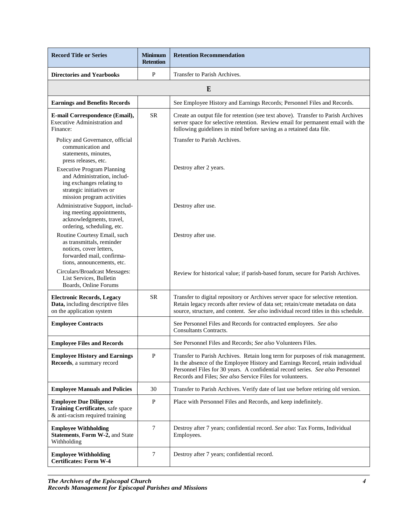| <b>Record Title or Series</b>                                                                                                                           | <b>Minimum</b><br><b>Retention</b> | <b>Retention Recommendation</b>                                                                                                                                                                                                                                                                                |
|---------------------------------------------------------------------------------------------------------------------------------------------------------|------------------------------------|----------------------------------------------------------------------------------------------------------------------------------------------------------------------------------------------------------------------------------------------------------------------------------------------------------------|
| <b>Directories and Yearbooks</b>                                                                                                                        | P                                  | Transfer to Parish Archives.                                                                                                                                                                                                                                                                                   |
|                                                                                                                                                         |                                    | E                                                                                                                                                                                                                                                                                                              |
| <b>Earnings and Benefits Records</b>                                                                                                                    |                                    | See Employee History and Earnings Records; Personnel Files and Records.                                                                                                                                                                                                                                        |
| E-mail Correspondence (Email),<br>Executive Administration and<br>Finance:                                                                              | <b>SR</b>                          | Create an output file for retention (see text above). Transfer to Parish Archives<br>server space for selective retention. Review email for permanent email with the<br>following guidelines in mind before saving as a retained data file.                                                                    |
| Policy and Governance, official<br>communication and<br>statements, minutes,<br>press releases, etc.                                                    |                                    | Transfer to Parish Archives.                                                                                                                                                                                                                                                                                   |
| <b>Executive Program Planning</b><br>and Administration, includ-<br>ing exchanges relating to<br>strategic initiatives or<br>mission program activities |                                    | Destroy after 2 years.                                                                                                                                                                                                                                                                                         |
| Administrative Support, includ-<br>ing meeting appointments,<br>acknowledgments, travel,<br>ordering, scheduling, etc.                                  |                                    | Destroy after use.                                                                                                                                                                                                                                                                                             |
| Routine Courtesy Email, such<br>as transmittals, reminder<br>notices, cover letters,<br>forwarded mail, confirma-<br>tions, announcements, etc.         |                                    | Destroy after use.                                                                                                                                                                                                                                                                                             |
| Circulars/Broadcast Messages:<br>List Services, Bulletin<br>Boards, Online Forums                                                                       |                                    | Review for historical value; if parish-based forum, secure for Parish Archives.                                                                                                                                                                                                                                |
| <b>Electronic Records, Legacy</b><br>Data, including descriptive files<br>on the application system                                                     | <b>SR</b>                          | Transfer to digital repository or Archives server space for selective retention.<br>Retain legacy records after review of data set; retain/create metadata on data<br>source, structure, and content. See also individual record titles in this schedule.                                                      |
| <b>Employee Contracts</b>                                                                                                                               |                                    | See Personnel Files and Records for contracted employees. See also<br>Consultants Contracts.                                                                                                                                                                                                                   |
| <b>Employee Files and Records</b>                                                                                                                       |                                    | See Personnel Files and Records; See also Volunteers Files.                                                                                                                                                                                                                                                    |
| <b>Employee History and Earnings</b><br>Records, a summary record                                                                                       | $\mathbf{P}$                       | Transfer to Parish Archives. Retain long term for purposes of risk management.<br>In the absence of the Employee History and Earnings Record, retain individual<br>Personnel Files for 30 years. A confidential record series. See also Personnel<br>Records and Files; See also Service Files for volunteers. |
| <b>Employee Manuals and Policies</b>                                                                                                                    | 30                                 | Transfer to Parish Archives. Verify date of last use before retiring old version.                                                                                                                                                                                                                              |
| <b>Employee Due Diligence</b><br>Training Certificates, safe space<br>& anti-racism required training                                                   | $\mathbf{P}$                       | Place with Personnel Files and Records, and keep indefinitely.                                                                                                                                                                                                                                                 |
| <b>Employee Withholding</b><br>Statements, Form W-2, and State<br>Withholding                                                                           | $\overline{7}$                     | Destroy after 7 years; confidential record. See also: Tax Forms, Individual<br>Employees.                                                                                                                                                                                                                      |
| <b>Employee Withholding</b><br><b>Certificates: Form W-4</b>                                                                                            | 7                                  | Destroy after 7 years; confidential record.                                                                                                                                                                                                                                                                    |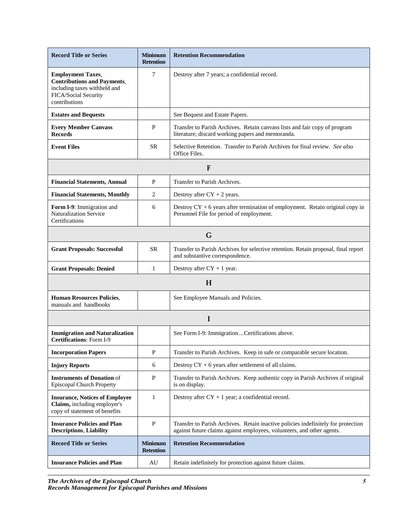| <b>Record Title or Series</b>                                                                                                           | <b>Minimum</b><br><b>Retention</b> | <b>Retention Recommendation</b>                                                                                                                             |
|-----------------------------------------------------------------------------------------------------------------------------------------|------------------------------------|-------------------------------------------------------------------------------------------------------------------------------------------------------------|
| <b>Employment Taxes,</b><br><b>Contributions and Payments,</b><br>including taxes withheld and<br>FICA/Social Security<br>contributions | 7                                  | Destroy after 7 years; a confidential record.                                                                                                               |
| <b>Estates and Bequests</b>                                                                                                             |                                    | See Bequest and Estate Papers.                                                                                                                              |
| <b>Every Member Canvass</b><br><b>Records</b>                                                                                           | $\mathbf{P}$                       | Transfer to Parish Archives. Retain canvass lists and fair copy of program<br>literature; discard working papers and memoranda.                             |
| <b>Event Files</b>                                                                                                                      | <b>SR</b>                          | Selective Retention. Transfer to Parish Archives for final review. See also<br>Office Files.                                                                |
|                                                                                                                                         |                                    | F                                                                                                                                                           |
| <b>Financial Statements, Annual</b>                                                                                                     | P                                  | Transfer to Parish Archives.                                                                                                                                |
| <b>Financial Statements, Monthly</b>                                                                                                    | 2                                  | Destroy after $CY + 2$ years.                                                                                                                               |
| Form I-9: Immigration and<br><b>Naturalization Service</b><br>Certifications                                                            | 6                                  | Destroy $CY + 6$ years after termination of employment. Retain original copy in<br>Personnel File for period of employment.                                 |
|                                                                                                                                         |                                    | G                                                                                                                                                           |
| <b>Grant Proposals: Successful</b>                                                                                                      | <b>SR</b>                          | Transfer to Parish Archives for selective retention. Retain proposal, final report<br>and substantive correspondence.                                       |
| <b>Grant Proposals: Denied</b>                                                                                                          | 1                                  | Destroy after $CY + 1$ year.                                                                                                                                |
|                                                                                                                                         |                                    | H                                                                                                                                                           |
| <b>Human Resources Policies,</b><br>manuals and handbooks                                                                               |                                    | See Employee Manuals and Policies.                                                                                                                          |
|                                                                                                                                         |                                    | I                                                                                                                                                           |
| <b>Immigration and Naturalization</b><br><b>Certifications: Form I-9</b>                                                                |                                    | See Form I-9: ImmigrationCertifications above.                                                                                                              |
| <b>Incorporation Papers</b>                                                                                                             | $\mathbf{P}$                       | Transfer to Parish Archives. Keep in safe or comparable secure location.                                                                                    |
| <b>Injury Reports</b>                                                                                                                   | 6                                  | Destroy $CY + 6$ years after settlement of all claims.                                                                                                      |
| <b>Instruments of Donation of</b><br>Episcopal Church Property                                                                          | $\mathbf{P}$                       | Transfer to Parish Archives. Keep authentic copy in Parish Archives if original<br>is on display.                                                           |
| <b>Insurance, Notices of Employee</b><br>Claims, including employer's<br>copy of statement of benefits                                  | $\mathbf{1}$                       | Destroy after $CY + 1$ year; a confidential record.                                                                                                         |
| <b>Insurance Policies and Plan</b><br><b>Descriptions, Liability</b>                                                                    | $\mathbf{P}$                       | Transfer to Parish Archives. Retain inactive policies indefinitely for protection<br>against future claims against employees, volunteers, and other agents. |
| <b>Record Title or Series</b>                                                                                                           | <b>Minimum</b><br><b>Retention</b> | <b>Retention Recommendation</b>                                                                                                                             |
| <b>Insurance Policies and Plan</b>                                                                                                      | AU                                 | Retain indefinitely for protection against future claims.                                                                                                   |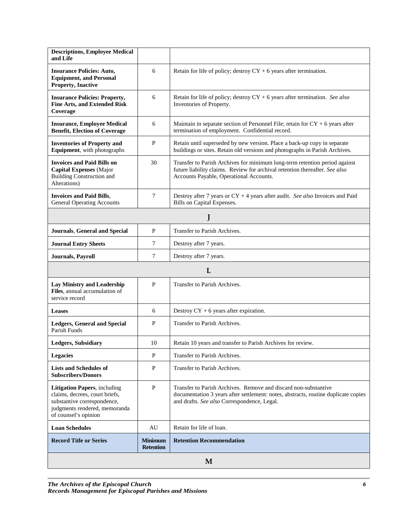| <b>Descriptions, Employee Medical</b><br>and Life                                                                                                             |                                    |                                                                                                                                                                                                      |  |
|---------------------------------------------------------------------------------------------------------------------------------------------------------------|------------------------------------|------------------------------------------------------------------------------------------------------------------------------------------------------------------------------------------------------|--|
| <b>Insurance Policies: Auto,</b><br><b>Equipment, and Personal</b><br><b>Property, Inactive</b>                                                               | 6                                  | Retain for life of policy; destroy $CY + 6$ years after termination.                                                                                                                                 |  |
| <b>Insurance Policies: Property,</b><br><b>Fine Arts, and Extended Risk</b><br>Coverage                                                                       | 6                                  | Retain for life of policy; destroy $CY + 6$ years after termination. See also<br>Inventories of Property.                                                                                            |  |
| <b>Insurance, Employee Medical</b><br><b>Benefit, Election of Coverage</b>                                                                                    | 6                                  | Maintain in separate section of Personnel File; retain for $CY + 6$ years after<br>termination of employment. Confidential record.                                                                   |  |
| <b>Inventories of Property and</b><br>Equipment, with photographs                                                                                             | $\mathbf P$                        | Retain until superseded by new version. Place a back-up copy in separate<br>buildings or sites. Retain old versions and photographs in Parish Archives.                                              |  |
| <b>Invoices and Paid Bills on</b><br><b>Capital Expenses</b> (Major<br><b>Building Construction and</b><br>Alterations)                                       | 30                                 | Transfer to Parish Archives for minimum long-term retention period against<br>future liability claims. Review for archival retention thereafter. See also<br>Accounts Payable, Operational Accounts. |  |
| <b>Invoices and Paid Bills,</b><br><b>General Operating Accounts</b>                                                                                          | 7                                  | Destroy after 7 years or $CY + 4$ years after audit. See also Invoices and Paid<br>Bills on Capital Expenses.                                                                                        |  |
|                                                                                                                                                               |                                    |                                                                                                                                                                                                      |  |
| <b>Journals, General and Special</b>                                                                                                                          | P                                  | Transfer to Parish Archives.                                                                                                                                                                         |  |
| <b>Journal Entry Sheets</b>                                                                                                                                   | 7                                  | Destroy after 7 years.                                                                                                                                                                               |  |
| Journals, Payroll                                                                                                                                             | 7                                  | Destroy after 7 years.                                                                                                                                                                               |  |
|                                                                                                                                                               |                                    | L                                                                                                                                                                                                    |  |
| <b>Lay Ministry and Leadership</b><br>Files, annual accumulation of<br>service record                                                                         | $\mathbf{P}$                       | Transfer to Parish Archives.                                                                                                                                                                         |  |
| <b>Leases</b>                                                                                                                                                 | 6                                  | Destroy $CY + 6$ years after expiration.                                                                                                                                                             |  |
| <b>Ledgers, General and Special</b><br>Parish Funds                                                                                                           | P                                  | Transfer to Parish Archives.                                                                                                                                                                         |  |
| Ledgers, Subsidiary                                                                                                                                           | 10                                 | Retain 10 years and transfer to Parish Archives for review.                                                                                                                                          |  |
| <b>Legacies</b>                                                                                                                                               | P                                  | Transfer to Parish Archives.                                                                                                                                                                         |  |
| <b>Lists and Schedules of</b><br><b>Subscribers/Donors</b>                                                                                                    | P                                  | Transfer to Parish Archives.                                                                                                                                                                         |  |
| <b>Litigation Papers, including</b><br>claims, decrees, court briefs,<br>substantive correspondence,<br>judgments rendered, memoranda<br>of counsel's opinion | $\mathbf P$                        | Transfer to Parish Archives. Remove and discard non-substantive<br>documentation 3 years after settlement: notes, abstracts, routine duplicate copies<br>and drafts. See also Correspondence, Legal. |  |
| <b>Loan Schedules</b>                                                                                                                                         | AU                                 | Retain for life of loan.                                                                                                                                                                             |  |
| <b>Record Title or Series</b>                                                                                                                                 | <b>Minimum</b><br><b>Retention</b> | <b>Retention Recommendation</b>                                                                                                                                                                      |  |
| M                                                                                                                                                             |                                    |                                                                                                                                                                                                      |  |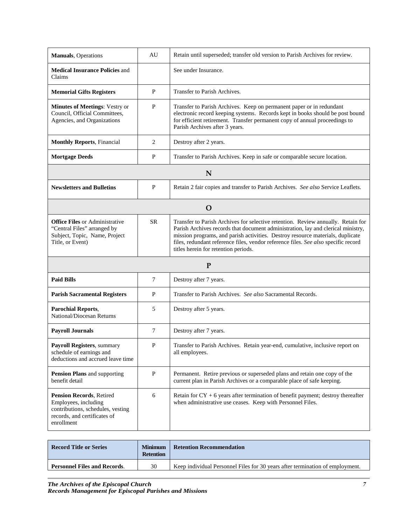| <b>Manuals</b> , Operations                                                                                                                | AU           | Retain until superseded; transfer old version to Parish Archives for review.                                                                                                                                                                                                                                                                                                         |
|--------------------------------------------------------------------------------------------------------------------------------------------|--------------|--------------------------------------------------------------------------------------------------------------------------------------------------------------------------------------------------------------------------------------------------------------------------------------------------------------------------------------------------------------------------------------|
| <b>Medical Insurance Policies and</b><br>Claims                                                                                            |              | See under Insurance.                                                                                                                                                                                                                                                                                                                                                                 |
| <b>Memorial Gifts Registers</b>                                                                                                            | P            | Transfer to Parish Archives.                                                                                                                                                                                                                                                                                                                                                         |
| <b>Minutes of Meetings: Vestry or</b><br>Council, Official Committees,<br>Agencies, and Organizations                                      | $\mathbf{P}$ | Transfer to Parish Archives. Keep on permanent paper or in redundant<br>electronic record keeping systems. Records kept in books should be post bound<br>for efficient retirement. Transfer permanent copy of annual proceedings to<br>Parish Archives after 3 years.                                                                                                                |
| <b>Monthly Reports, Financial</b>                                                                                                          | 2            | Destroy after 2 years.                                                                                                                                                                                                                                                                                                                                                               |
| <b>Mortgage Deeds</b>                                                                                                                      | P            | Transfer to Parish Archives. Keep in safe or comparable secure location.                                                                                                                                                                                                                                                                                                             |
|                                                                                                                                            |              | N                                                                                                                                                                                                                                                                                                                                                                                    |
| <b>Newsletters and Bulletins</b>                                                                                                           | P            | Retain 2 fair copies and transfer to Parish Archives. See also Service Leaflets.                                                                                                                                                                                                                                                                                                     |
| $\mathbf O$                                                                                                                                |              |                                                                                                                                                                                                                                                                                                                                                                                      |
| <b>Office Files or Administrative</b><br>"Central Files" arranged by<br>Subject, Topic, Name, Project<br>Title, or Event)                  | <b>SR</b>    | Transfer to Parish Archives for selective retention. Review annually. Retain for<br>Parish Archives records that document administration, lay and clerical ministry,<br>mission programs, and parish activities. Destroy resource materials, duplicate<br>files, redundant reference files, vendor reference files. See also specific record<br>titles herein for retention periods. |
|                                                                                                                                            |              | $\mathbf{P}$                                                                                                                                                                                                                                                                                                                                                                         |
| <b>Paid Bills</b>                                                                                                                          | 7            | Destroy after 7 years.                                                                                                                                                                                                                                                                                                                                                               |
| <b>Parish Sacramental Registers</b>                                                                                                        | P            | Transfer to Parish Archives. See also Sacramental Records.                                                                                                                                                                                                                                                                                                                           |
| <b>Parochial Reports,</b><br>National/Diocesan Returns                                                                                     | 5            | Destroy after 5 years.                                                                                                                                                                                                                                                                                                                                                               |
| <b>Payroll Journals</b>                                                                                                                    | 7            | Destroy after 7 years.                                                                                                                                                                                                                                                                                                                                                               |
| Payroll Registers, summary<br>schedule of earnings and<br>deductions and accrued leave time                                                | P            | Transfer to Parish Archives. Retain year-end, cumulative, inclusive report on<br>all employees.                                                                                                                                                                                                                                                                                      |
| Pension Plans and supporting<br>benefit detail                                                                                             | $\mathbf{P}$ | Permanent. Retire previous or superseded plans and retain one copy of the<br>current plan in Parish Archives or a comparable place of safe keeping.                                                                                                                                                                                                                                  |
| <b>Pension Records, Retired</b><br>Employees, including<br>contributions, schedules, vesting<br>records, and certificates of<br>enrollment | 6            | Retain for $CY + 6$ years after termination of benefit payment; destroy thereafter<br>when administrative use ceases. Keep with Personnel Files.                                                                                                                                                                                                                                     |

| Record Title or Series              | <b>Minimum</b><br><b>Retention</b> | <b>Retention Recommendation</b>                                               |
|-------------------------------------|------------------------------------|-------------------------------------------------------------------------------|
| <b>Personnel Files and Records.</b> | 30                                 | Keep individual Personnel Files for 30 years after termination of employment. |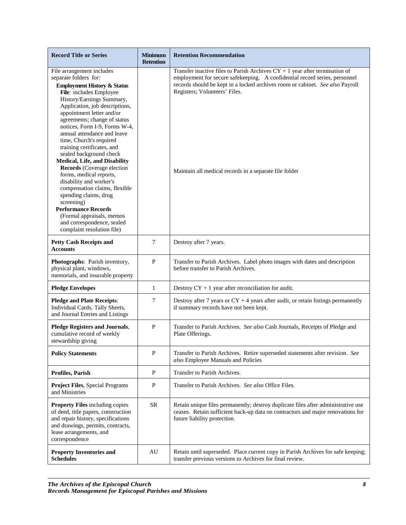| <b>Record Title or Series</b>                                                                                                                                                                                                                                                                                                                                                                                                                                                                                                                                                                                                                                                                                               | <b>Minimum</b><br><b>Retention</b> | <b>Retention Recommendation</b>                                                                                                                                                                                                                                                                                                         |
|-----------------------------------------------------------------------------------------------------------------------------------------------------------------------------------------------------------------------------------------------------------------------------------------------------------------------------------------------------------------------------------------------------------------------------------------------------------------------------------------------------------------------------------------------------------------------------------------------------------------------------------------------------------------------------------------------------------------------------|------------------------------------|-----------------------------------------------------------------------------------------------------------------------------------------------------------------------------------------------------------------------------------------------------------------------------------------------------------------------------------------|
| File arrangement includes<br>separate folders for:<br><b>Employment History &amp; Status</b><br>File: includes Employee<br>History/Earnings Summary,<br>Application, job descriptions,<br>appointment letter and/or<br>agreements; change of status<br>notices, Form I-9, Forms W-4,<br>annual attendance and leave<br>time, Church's required<br>training certificates, and<br>sealed background check<br>Medical, Life, and Disability<br>Records (Coverage election<br>forms, medical reports,<br>disability and worker's<br>compensation claims, flexible<br>spending claims, drug<br>screening)<br><b>Performance Records</b><br>(Formal appraisals, memos<br>and correspondence, sealed<br>complaint resolution file) |                                    | Transfer inactive files to Parish Archives $CY + 1$ year after termination of<br>employment for secure safekeeping. A confidential record series, personnel<br>records should be kept in a locked archives room or cabinet. See also Payroll<br>Registers; Volunteers' Files.<br>Maintain all medical records in a separate file folder |
| <b>Petty Cash Receipts and</b><br><b>Accounts</b>                                                                                                                                                                                                                                                                                                                                                                                                                                                                                                                                                                                                                                                                           | $\tau$                             | Destroy after 7 years.                                                                                                                                                                                                                                                                                                                  |
| Photographs: Parish inventory,<br>physical plant, windows,<br>memorials, and insurable property                                                                                                                                                                                                                                                                                                                                                                                                                                                                                                                                                                                                                             | $\, {\bf P}$                       | Transfer to Parish Archives. Label photo images with dates and description<br>before transfer to Parish Archives.                                                                                                                                                                                                                       |
| <b>Pledge Envelopes</b>                                                                                                                                                                                                                                                                                                                                                                                                                                                                                                                                                                                                                                                                                                     | 1                                  | Destroy $CY + 1$ year after reconciliation for audit.                                                                                                                                                                                                                                                                                   |
| <b>Pledge and Plate Receipts:</b><br>Individual Cards, Tally Sheets,<br>and Journal Entries and Listings                                                                                                                                                                                                                                                                                                                                                                                                                                                                                                                                                                                                                    | $\tau$                             | Destroy after 7 years or $CY + 4$ years after audit, or retain listings permanently<br>if summary records have not been kept.                                                                                                                                                                                                           |
| <b>Pledge Registers and Journals,</b><br>cumulative record of weekly<br>stewardship giving                                                                                                                                                                                                                                                                                                                                                                                                                                                                                                                                                                                                                                  | $\, {\bf P}$                       | Transfer to Parish Archives. See also Cash Journals, Receipts of Pledge and<br>Plate Offerings.                                                                                                                                                                                                                                         |
| <b>Policy Statements</b>                                                                                                                                                                                                                                                                                                                                                                                                                                                                                                                                                                                                                                                                                                    | $\mathbf{P}$                       | Transfer to Parish Archives. Retire superseded statements after revision. See<br>also Employee Manuals and Policies                                                                                                                                                                                                                     |
| <b>Profiles, Parish</b>                                                                                                                                                                                                                                                                                                                                                                                                                                                                                                                                                                                                                                                                                                     | ${\bf P}$                          | Transfer to Parish Archives.                                                                                                                                                                                                                                                                                                            |
| <b>Project Files, Special Programs</b><br>and Ministries                                                                                                                                                                                                                                                                                                                                                                                                                                                                                                                                                                                                                                                                    | ${\bf P}$                          | Transfer to Parish Archives. See also Office Files.                                                                                                                                                                                                                                                                                     |
| <b>Property Files</b> including copies<br>of deed, title papers, construction<br>and repair history, specifications<br>and drawings, permits, contracts,<br>lease arrangements, and<br>correspondence                                                                                                                                                                                                                                                                                                                                                                                                                                                                                                                       | <b>SR</b>                          | Retain unique files permanently; destroy duplicate files after administrative use<br>ceases. Retain sufficient back-up data on contractors and major renovations for<br>future liability protection.                                                                                                                                    |
| <b>Property Inventories and</b><br><b>Schedules</b>                                                                                                                                                                                                                                                                                                                                                                                                                                                                                                                                                                                                                                                                         | AU                                 | Retain until superseded. Place current copy in Parish Archives for safe keeping;<br>transfer previous versions to Archives for final review.                                                                                                                                                                                            |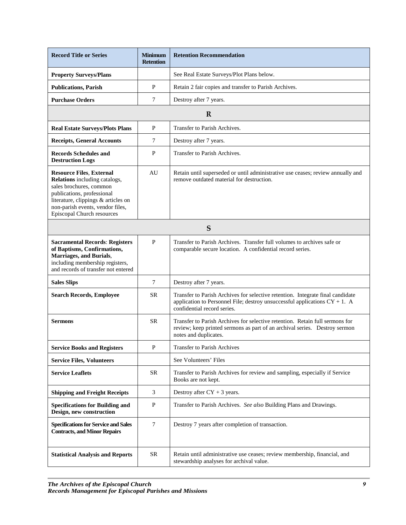| <b>Record Title or Series</b>                                                                                                                                                                                                             | <b>Minimum</b><br><b>Retention</b> | <b>Retention Recommendation</b>                                                                                                                                                                |
|-------------------------------------------------------------------------------------------------------------------------------------------------------------------------------------------------------------------------------------------|------------------------------------|------------------------------------------------------------------------------------------------------------------------------------------------------------------------------------------------|
| <b>Property Surveys/Plans</b>                                                                                                                                                                                                             |                                    | See Real Estate Surveys/Plot Plans below.                                                                                                                                                      |
| <b>Publications, Parish</b>                                                                                                                                                                                                               | P                                  | Retain 2 fair copies and transfer to Parish Archives.                                                                                                                                          |
| <b>Purchase Orders</b>                                                                                                                                                                                                                    | 7                                  | Destroy after 7 years.                                                                                                                                                                         |
|                                                                                                                                                                                                                                           |                                    | $\mathbf R$                                                                                                                                                                                    |
| <b>Real Estate Surveys/Plots Plans</b>                                                                                                                                                                                                    | P                                  | Transfer to Parish Archives.                                                                                                                                                                   |
| <b>Receipts, General Accounts</b>                                                                                                                                                                                                         | 7                                  | Destroy after 7 years.                                                                                                                                                                         |
| <b>Records Schedules and</b><br><b>Destruction Logs</b>                                                                                                                                                                                   | P                                  | Transfer to Parish Archives.                                                                                                                                                                   |
| <b>Resource Files, External</b><br><b>Relations</b> including catalogs,<br>sales brochures, common<br>publications, professional<br>literature, clippings & articles on<br>non-parish events, vendor files,<br>Episcopal Church resources | AU                                 | Retain until superseded or until administrative use ceases; review annually and<br>remove outdated material for destruction.                                                                   |
| S                                                                                                                                                                                                                                         |                                    |                                                                                                                                                                                                |
| <b>Sacramental Records: Registers</b><br>of Baptisms, Confirmations,<br>Marriages, and Burials,<br>including membership registers,<br>and records of transfer not entered                                                                 | $\mathbf{P}$                       | Transfer to Parish Archives. Transfer full volumes to archives safe or<br>comparable secure location. A confidential record series.                                                            |
| <b>Sales Slips</b>                                                                                                                                                                                                                        | $\overline{7}$                     | Destroy after 7 years.                                                                                                                                                                         |
| <b>Search Records, Employee</b>                                                                                                                                                                                                           | <b>SR</b>                          | Transfer to Parish Archives for selective retention. Integrate final candidate<br>application to Personnel File; destroy unsuccessful applications $CY + 1$ . A<br>confidential record series. |
| <b>Sermons</b>                                                                                                                                                                                                                            | <b>SR</b>                          | Transfer to Parish Archives for selective retention. Retain full sermons for<br>review; keep printed sermons as part of an archival series. Destroy sermon<br>notes and duplicates.            |
| <b>Service Books and Registers</b>                                                                                                                                                                                                        | ${\bf P}$                          | <b>Transfer to Parish Archives</b>                                                                                                                                                             |
| <b>Service Files, Volunteers</b>                                                                                                                                                                                                          |                                    | See Volunteers' Files                                                                                                                                                                          |
| <b>Service Leaflets</b>                                                                                                                                                                                                                   | <b>SR</b>                          | Transfer to Parish Archives for review and sampling, especially if Service<br>Books are not kept.                                                                                              |
| <b>Shipping and Freight Receipts</b>                                                                                                                                                                                                      | 3                                  | Destroy after $CY + 3$ years.                                                                                                                                                                  |
| <b>Specifications for Building and</b><br>Design, new construction                                                                                                                                                                        | $\mathbf P$                        | Transfer to Parish Archives. See also Building Plans and Drawings.                                                                                                                             |
| <b>Specifications for Service and Sales</b><br><b>Contracts, and Minor Repairs</b>                                                                                                                                                        | $\overline{7}$                     | Destroy 7 years after completion of transaction.                                                                                                                                               |
| <b>Statistical Analysis and Reports</b>                                                                                                                                                                                                   | <b>SR</b>                          | Retain until administrative use ceases; review membership, financial, and<br>stewardship analyses for archival value.                                                                          |